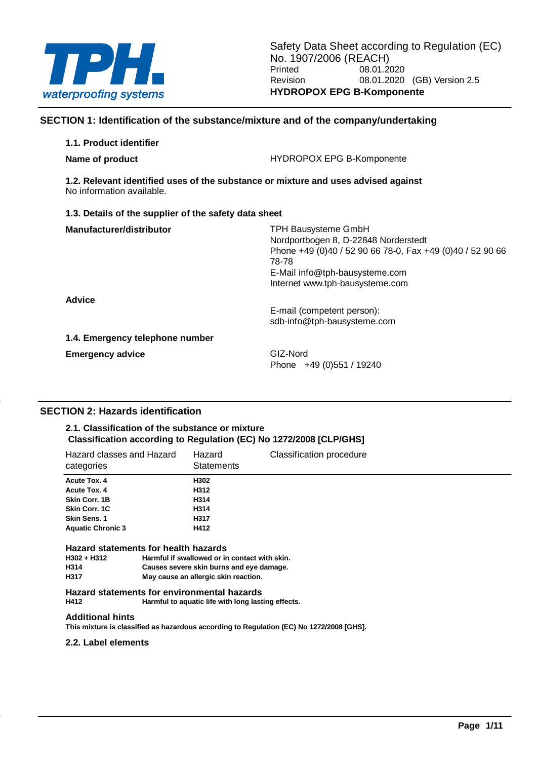

### **SECTION 1: Identification of the substance/mixture and of the company/undertaking**

| 1.1. Product identifier                                                                                         |                                                                                                                                                                                                               |
|-----------------------------------------------------------------------------------------------------------------|---------------------------------------------------------------------------------------------------------------------------------------------------------------------------------------------------------------|
| Name of product                                                                                                 | <b>HYDROPOX EPG B-Komponente</b>                                                                                                                                                                              |
| 1.2. Relevant identified uses of the substance or mixture and uses advised against<br>No information available. |                                                                                                                                                                                                               |
| 1.3. Details of the supplier of the safety data sheet                                                           |                                                                                                                                                                                                               |
| Manufacturer/distributor                                                                                        | <b>TPH Bausysteme GmbH</b><br>Nordportbogen 8, D-22848 Norderstedt<br>Phone +49 (0)40 / 52 90 66 78-0, Fax +49 (0)40 / 52 90 66<br>78-78<br>E-Mail info@tph-bausysteme.com<br>Internet www.tph-bausysteme.com |
| <b>Advice</b>                                                                                                   | E-mail (competent person):<br>sdb-info@tph-bausysteme.com                                                                                                                                                     |
| 1.4. Emergency telephone number                                                                                 |                                                                                                                                                                                                               |
| <b>Emergency advice</b>                                                                                         | GIZ-Nord<br>Phone +49 (0) 551 / 19240                                                                                                                                                                         |

### **SECTION 2: Hazards identification**

### **2.1. Classification of the substance or mixture Classification according to Regulation (EC) No 1272/2008 [CLP/GHS]**

| Hazard classes and Hazard<br>categories | Hazard<br><b>Statements</b>                                                                       | <b>Classification procedure</b> |
|-----------------------------------------|---------------------------------------------------------------------------------------------------|---------------------------------|
| <b>Acute Tox. 4</b>                     | H302                                                                                              |                                 |
| Acute Tox. 4                            | H312                                                                                              |                                 |
| <b>Skin Corr. 1B</b>                    | H314                                                                                              |                                 |
| <b>Skin Corr. 1C</b>                    | H314                                                                                              |                                 |
| Skin Sens. 1                            | H317                                                                                              |                                 |
| <b>Aquatic Chronic 3</b>                | H412                                                                                              |                                 |
| Hazard statements for health hazards    |                                                                                                   |                                 |
| $H302 + H312$                           | Harmful if swallowed or in contact with skin.                                                     |                                 |
| H314                                    | Causes severe skin burns and eye damage.                                                          |                                 |
| H317                                    | May cause an allergic skin reaction.                                                              |                                 |
| H412                                    | Hazard statements for environmental hazards<br>Harmful to aquatic life with long lasting effects. |                                 |
|                                         |                                                                                                   |                                 |
| <b>Additional hints</b>                 |                                                                                                   |                                 |

**This mixture is classified as hazardous according to Regulation (EC) No 1272/2008 [GHS].**

#### **2.2. Label elements**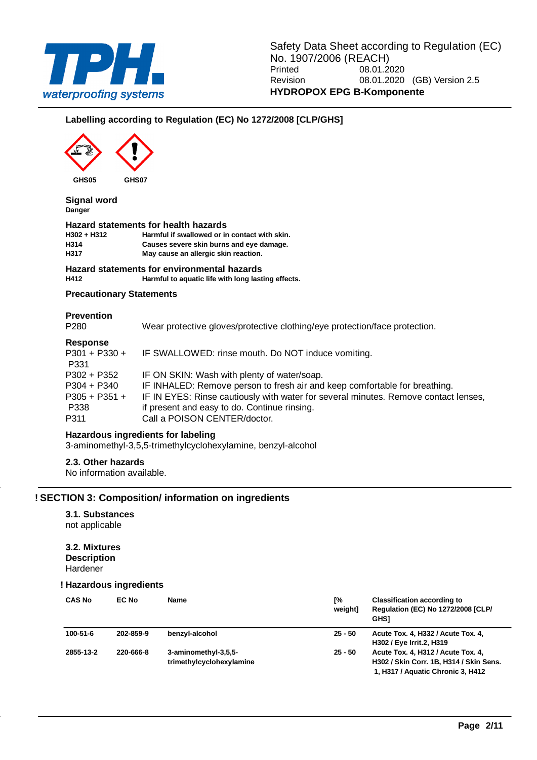

### **Labelling according to Regulation (EC) No 1272/2008 [CLP/GHS]**



**Signal word Danger**

#### **Hazard statements for health hazards**

**H302 + H312 Harmful if swallowed or in contact with skin. H314 Causes severe skin burns and eye damage. H317 May cause an allergic skin reaction.**

### **Hazard statements for environmental hazards**

**H412 Harmful to aquatic life with long lasting effects.**

### **Precautionary Statements**

#### **Prevention**

P280 Wear protective gloves/protective clothing/eye protection/face protection.

#### **Response**

| <b>Response</b> |                                                                                     |
|-----------------|-------------------------------------------------------------------------------------|
| P301 + P330 +   | IF SWALLOWED: rinse mouth. Do NOT induce vomiting.                                  |
| P331            |                                                                                     |
| P302 + P352     | IF ON SKIN: Wash with plenty of water/soap.                                         |
| P304 + P340     | IF INHALED: Remove person to fresh air and keep comfortable for breathing.          |
| $P305 + P351 +$ | IF IN EYES: Rinse cautiously with water for several minutes. Remove contact lenses, |
| P338            | if present and easy to do. Continue rinsing.                                        |
| P311            | Call a POISON CENTER/doctor.                                                        |
|                 |                                                                                     |

### **Hazardous ingredients for labeling**

3-aminomethyl-3,5,5-trimethylcyclohexylamine, benzyl-alcohol

### **2.3. Other hazards**

No information available.

### **! SECTION 3: Composition/ information on ingredients**

### **3.1. Substances**

not applicable

#### **3.2. Mixtures Description** Hardener

#### **! Hazardous ingredients**

| <b>CAS No</b>  | EC No     | <b>Name</b>                                      | Г%<br>weight] | <b>Classification according to</b><br><b>Regulation (EC) No 1272/2008 [CLP/</b><br><b>GHSI</b>                     |
|----------------|-----------|--------------------------------------------------|---------------|--------------------------------------------------------------------------------------------------------------------|
| $100 - 51 - 6$ | 202-859-9 | benzyl-alcohol                                   | $25 - 50$     | Acute Tox. 4, H332 / Acute Tox. 4,<br>H302 / Eye Irrit.2, H319                                                     |
| 2855-13-2      | 220-666-8 | 3-aminomethyl-3,5,5-<br>trimethylcyclohexylamine | $25 - 50$     | Acute Tox. 4, H312 / Acute Tox. 4,<br>H302 / Skin Corr. 1B, H314 / Skin Sens.<br>1, H317 / Aquatic Chronic 3, H412 |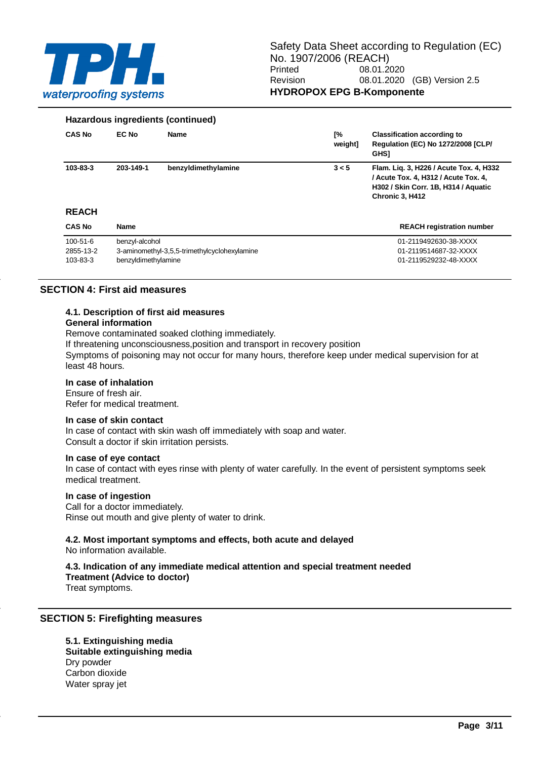

#### **Hazardous ingredients (continued)**

| <b>CAS No</b>  | EC No               | <b>Name</b>                                  | [%<br>weight] | <b>Classification according to</b><br><b>Regulation (EC) No 1272/2008 [CLP/</b><br><b>GHSI</b>                                             |
|----------------|---------------------|----------------------------------------------|---------------|--------------------------------------------------------------------------------------------------------------------------------------------|
| 103-83-3       | 203-149-1           | benzyldimethylamine                          | 3 < 5         | Flam. Lig. 3, H226 / Acute Tox. 4, H332<br>/ Acute Tox. 4, H312 / Acute Tox. 4,<br>H302 / Skin Corr. 1B, H314 / Aquatic<br>Chronic 3, H412 |
| <b>REACH</b>   |                     |                                              |               |                                                                                                                                            |
| <b>CAS No</b>  | <b>Name</b>         |                                              |               | <b>REACH registration number</b>                                                                                                           |
| $100 - 51 - 6$ | benzyl-alcohol      |                                              |               | 01-2119492630-38-XXXX                                                                                                                      |
| 2855-13-2      |                     | 3-aminomethyl-3,5,5-trimethylcyclohexylamine |               | 01-2119514687-32-XXXX                                                                                                                      |
| 103-83-3       | benzvldimethylamine |                                              |               | 01-2119529232-48-XXXX                                                                                                                      |

### **SECTION 4: First aid measures**

#### **4.1. Description of first aid measures**

#### **General information**

Remove contaminated soaked clothing immediately.

If threatening unconsciousness,position and transport in recovery position

Symptoms of poisoning may not occur for many hours, therefore keep under medical supervision for at least 48 hours.

#### **In case of inhalation**

Ensure of fresh air. Refer for medical treatment.

#### **In case of skin contact**

In case of contact with skin wash off immediately with soap and water. Consult a doctor if skin irritation persists.

#### **In case of eye contact**

In case of contact with eyes rinse with plenty of water carefully. In the event of persistent symptoms seek medical treatment.

#### **In case of ingestion**

Call for a doctor immediately. Rinse out mouth and give plenty of water to drink.

## **4.2. Most important symptoms and effects, both acute and delayed**

No information available.

### **4.3. Indication of any immediate medical attention and special treatment needed**

**Treatment (Advice to doctor)**

Treat symptoms.

### **SECTION 5: Firefighting measures**

**5.1. Extinguishing media Suitable extinguishing media** Dry powder Carbon dioxide Water spray jet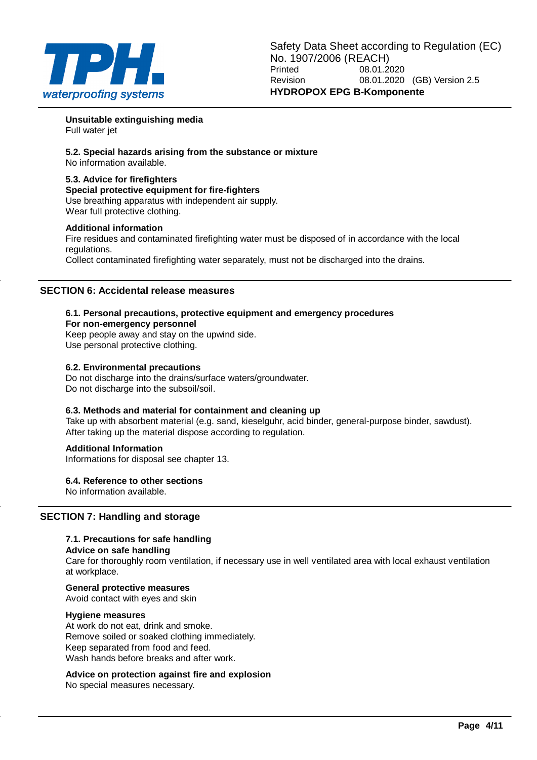

**Unsuitable extinguishing media** Full water jet

**5.2. Special hazards arising from the substance or mixture** No information available.

### **5.3. Advice for firefighters**

**Special protective equipment for fire-fighters** Use breathing apparatus with independent air supply. Wear full protective clothing.

### **Additional information**

Fire residues and contaminated firefighting water must be disposed of in accordance with the local regulations.

Collect contaminated firefighting water separately, must not be discharged into the drains.

### **SECTION 6: Accidental release measures**

#### **6.1. Personal precautions, protective equipment and emergency procedures For non-emergency personnel**

Keep people away and stay on the upwind side. Use personal protective clothing.

### **6.2. Environmental precautions**

Do not discharge into the drains/surface waters/groundwater. Do not discharge into the subsoil/soil.

### **6.3. Methods and material for containment and cleaning up**

Take up with absorbent material (e.g. sand, kieselguhr, acid binder, general-purpose binder, sawdust). After taking up the material dispose according to regulation.

### **Additional Information**

Informations for disposal see chapter 13.

### **6.4. Reference to other sections**

No information available.

### **SECTION 7: Handling and storage**

### **7.1. Precautions for safe handling**

### **Advice on safe handling**

Care for thoroughly room ventilation, if necessary use in well ventilated area with local exhaust ventilation at workplace.

# **General protective measures**

Avoid contact with eyes and skin

### **Hygiene measures**

At work do not eat, drink and smoke. Remove soiled or soaked clothing immediately. Keep separated from food and feed. Wash hands before breaks and after work.

### **Advice on protection against fire and explosion**

No special measures necessary.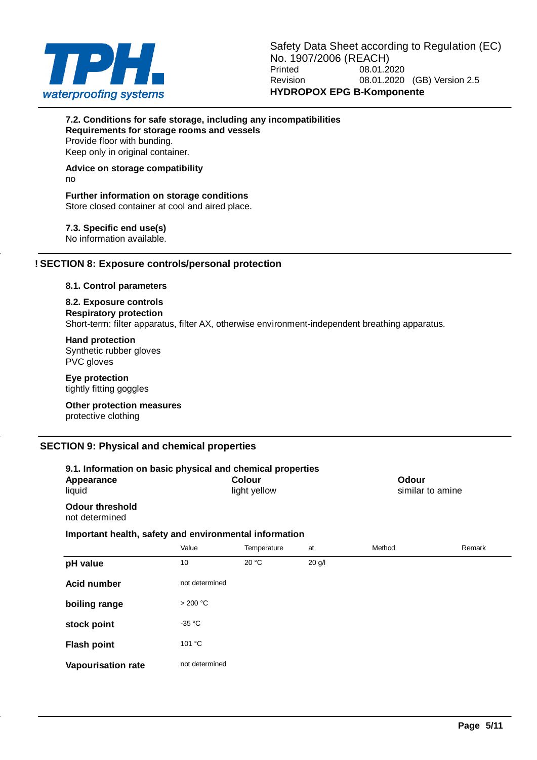

### **7.2. Conditions for safe storage, including any incompatibilities Requirements for storage rooms and vessels**

Provide floor with bunding. Keep only in original container.

#### **Advice on storage compatibility** no

### **Further information on storage conditions** Store closed container at cool and aired place.

**7.3. Specific end use(s)**

No information available.

### **! SECTION 8: Exposure controls/personal protection**

### **8.1. Control parameters**

#### **8.2. Exposure controls Respiratory protection** Short-term: filter apparatus, filter AX, otherwise environment-independent breathing apparatus.

**Hand protection** Synthetic rubber gloves PVC gloves

**Eye protection** tightly fitting goggles

**Other protection measures** protective clothing

### **SECTION 9: Physical and chemical properties**

| 9.1. Information on basic physical and chemical properties<br><b>Colour</b><br>Appearance<br>light yellow<br>liquid |                |             |          | Odour<br>similar to amine |        |
|---------------------------------------------------------------------------------------------------------------------|----------------|-------------|----------|---------------------------|--------|
| <b>Odour threshold</b><br>not determined                                                                            |                |             |          |                           |        |
| Important health, safety and environmental information                                                              |                |             |          |                           |        |
|                                                                                                                     | Value          | Temperature | at       | Method                    | Remark |
| pH value                                                                                                            | 10             | 20 °C       | $20$ g/l |                           |        |
| <b>Acid number</b>                                                                                                  | not determined |             |          |                           |        |
| boiling range                                                                                                       | >200 °C        |             |          |                           |        |
| stock point                                                                                                         | $-35 °C$       |             |          |                           |        |
| <b>Flash point</b>                                                                                                  | 101 °C         |             |          |                           |        |
| <b>Vapourisation rate</b>                                                                                           | not determined |             |          |                           |        |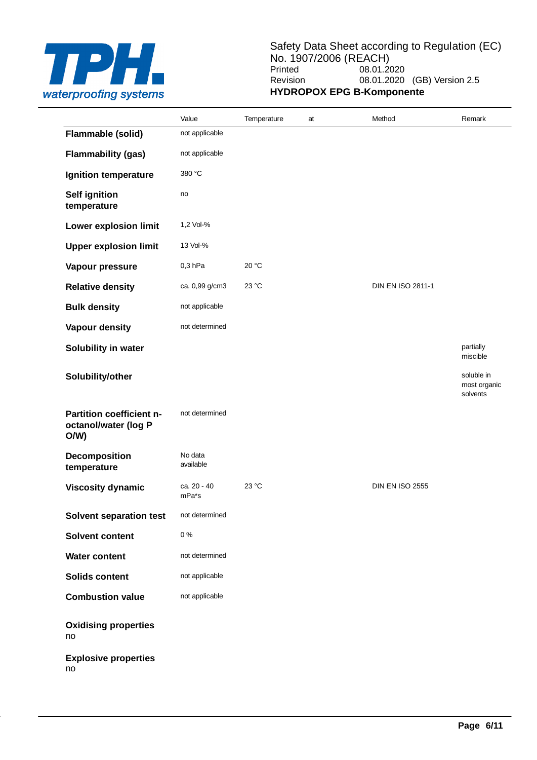

### Safety Data Sheet according to Regulation (EC) No. 1907/2006 (REACH)<br>Printed 08.01.2 08.01.2020 Revision 08.01.2020 (GB) Version 2.5 **HYDROPOX EPG B-Komponente**

|                                                         | Value                | Temperature | at | Method                 | Remark                                 |
|---------------------------------------------------------|----------------------|-------------|----|------------------------|----------------------------------------|
| Flammable (solid)                                       | not applicable       |             |    |                        |                                        |
| <b>Flammability (gas)</b>                               | not applicable       |             |    |                        |                                        |
| Ignition temperature                                    | 380 °C               |             |    |                        |                                        |
| <b>Self ignition</b><br>temperature                     | no                   |             |    |                        |                                        |
| Lower explosion limit                                   | 1,2 Vol-%            |             |    |                        |                                        |
| <b>Upper explosion limit</b>                            | 13 Vol-%             |             |    |                        |                                        |
| Vapour pressure                                         | $0,3$ hPa            | 20 °C       |    |                        |                                        |
| <b>Relative density</b>                                 | ca. 0,99 g/cm3       | 23 °C       |    | DIN EN ISO 2811-1      |                                        |
| <b>Bulk density</b>                                     | not applicable       |             |    |                        |                                        |
| Vapour density                                          | not determined       |             |    |                        |                                        |
| Solubility in water                                     |                      |             |    |                        | partially<br>miscible                  |
| Solubility/other                                        |                      |             |    |                        | soluble in<br>most organic<br>solvents |
| Partition coefficient n-<br>octanol/water (log P<br>O/W | not determined       |             |    |                        |                                        |
| Decomposition<br>temperature                            | No data<br>available |             |    |                        |                                        |
| <b>Viscosity dynamic</b>                                | ca. 20 - 40<br>mPa*s | 23 °C       |    | <b>DIN EN ISO 2555</b> |                                        |
| <b>Solvent separation test</b>                          | not determined       |             |    |                        |                                        |
| Solvent content                                         | $0\ \%$              |             |    |                        |                                        |
| <b>Water content</b>                                    | not determined       |             |    |                        |                                        |
| <b>Solids content</b>                                   | not applicable       |             |    |                        |                                        |
| <b>Combustion value</b>                                 | not applicable       |             |    |                        |                                        |
| <b>Oxidising properties</b><br>no                       |                      |             |    |                        |                                        |
| <b>Explosive properties</b><br>no                       |                      |             |    |                        |                                        |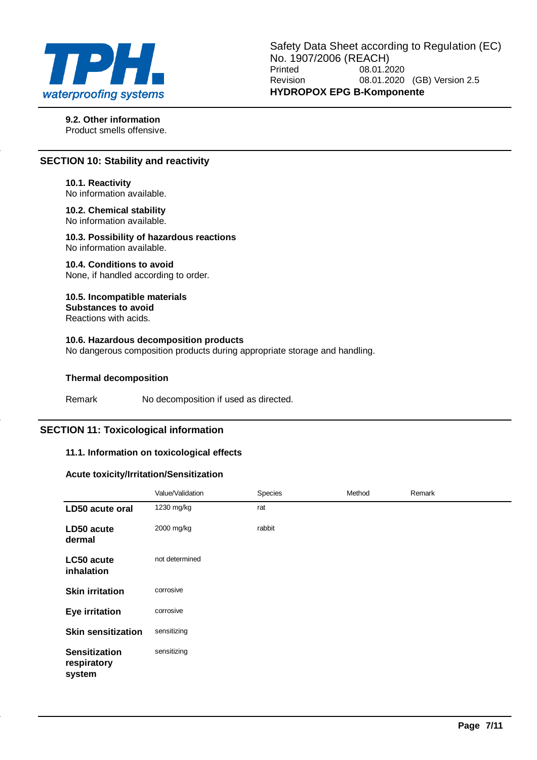

**9.2. Other information** Product smells offensive.

### **SECTION 10: Stability and reactivity**

**10.1. Reactivity** No information available.

**10.2. Chemical stability** No information available.

**10.3. Possibility of hazardous reactions** No information available.

**10.4. Conditions to avoid** None, if handled according to order.

**10.5. Incompatible materials Substances to avoid** Reactions with acids.

### **10.6. Hazardous decomposition products**

No dangerous composition products during appropriate storage and handling.

#### **Thermal decomposition**

Remark No decomposition if used as directed.

### **SECTION 11: Toxicological information**

### **11.1. Information on toxicological effects**

### **Acute toxicity/Irritation/Sensitization**

|                                               | Value/Validation | Species | Method | Remark |
|-----------------------------------------------|------------------|---------|--------|--------|
| LD50 acute oral                               | 1230 mg/kg       | rat     |        |        |
| LD50 acute<br>dermal                          | 2000 mg/kg       | rabbit  |        |        |
| LC50 acute<br>inhalation                      | not determined   |         |        |        |
| <b>Skin irritation</b>                        | corrosive        |         |        |        |
| <b>Eye irritation</b>                         | corrosive        |         |        |        |
| <b>Skin sensitization</b>                     | sensitizing      |         |        |        |
| <b>Sensitization</b><br>respiratory<br>system | sensitizing      |         |        |        |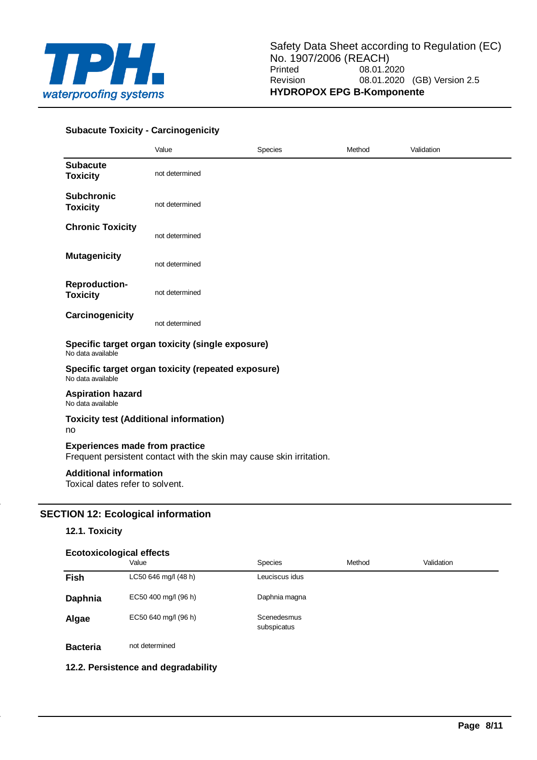

### **Subacute Toxicity - Carcinogenicity**

|                                                                  | Value                                                                | <b>Species</b> | Method | Validation |  |  |
|------------------------------------------------------------------|----------------------------------------------------------------------|----------------|--------|------------|--|--|
| <b>Subacute</b><br><b>Toxicity</b>                               | not determined                                                       |                |        |            |  |  |
| <b>Subchronic</b><br><b>Toxicity</b>                             | not determined                                                       |                |        |            |  |  |
| <b>Chronic Toxicity</b>                                          | not determined                                                       |                |        |            |  |  |
| <b>Mutagenicity</b>                                              | not determined                                                       |                |        |            |  |  |
| <b>Reproduction-</b><br><b>Toxicity</b>                          | not determined                                                       |                |        |            |  |  |
| Carcinogenicity                                                  | not determined                                                       |                |        |            |  |  |
| No data available                                                | Specific target organ toxicity (single exposure)                     |                |        |            |  |  |
| No data available                                                | Specific target organ toxicity (repeated exposure)                   |                |        |            |  |  |
| <b>Aspiration hazard</b><br>No data available                    |                                                                      |                |        |            |  |  |
| <b>Toxicity test (Additional information)</b><br>no              |                                                                      |                |        |            |  |  |
| <b>Experiences made from practice</b>                            | Frequent persistent contact with the skin may cause skin irritation. |                |        |            |  |  |
| <b>Additional information</b><br>Toxical dates refer to solvent. |                                                                      |                |        |            |  |  |

### **SECTION 12: Ecological information**

### **12.1. Toxicity**

#### **Ecotoxicological effects**

|                 | Value                | Species                    | Method | Validation |  |
|-----------------|----------------------|----------------------------|--------|------------|--|
| Fish            | LC50 646 mg/l (48 h) | Leuciscus idus             |        |            |  |
| Daphnia         | EC50 400 mg/l (96 h) | Daphnia magna              |        |            |  |
| Algae           | EC50 640 mg/l (96 h) | Scenedesmus<br>subspicatus |        |            |  |
| <b>Bacteria</b> | not determined       |                            |        |            |  |

### **12.2. Persistence and degradability**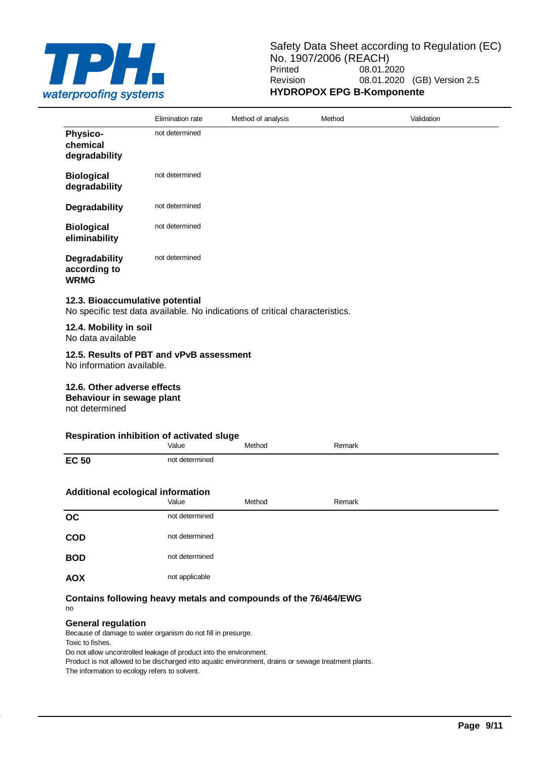

|                                              | Elimination rate | Method of analysis | Method | Validation |
|----------------------------------------------|------------------|--------------------|--------|------------|
| <b>Physico-</b><br>chemical<br>degradability | not determined   |                    |        |            |
| <b>Biological</b><br>degradability           | not determined   |                    |        |            |
| Degradability                                | not determined   |                    |        |            |
| <b>Biological</b><br>eliminability           | not determined   |                    |        |            |
| Degradability<br>according to<br><b>WRMG</b> | not determined   |                    |        |            |

### **12.3. Bioaccumulative potential**

No specific test data available. No indications of critical characteristics.

#### **12.4. Mobility in soil** No data available

### **12.5. Results of PBT and vPvB assessment**

No information available.

### **12.6. Other adverse effects**

**Behaviour in sewage plant**

not determined

### **Respiration inhibition of activated sluge**

| $  -$                             | . <b>. .</b> .<br>Value | Method | Remark |
|-----------------------------------|-------------------------|--------|--------|
| <b>EC 50</b>                      | not determined          |        |        |
| Additional ecological information |                         |        |        |
|                                   | Value                   | Method | Remark |
| OC                                | not determined          |        |        |
| <b>COD</b>                        | not determined          |        |        |
| <b>BOD</b>                        | not determined          |        |        |
| <b>AOX</b>                        | not applicable          |        |        |

### **Contains following heavy metals and compounds of the 76/464/EWG** no

#### **General regulation**

Because of damage to water organism do not fill in presurge.

Toxic to fishes.

Do not allow uncontrolled leakage of product into the environment.

Product is not allowed to be discharged into aquatic environment, drains or sewage treatment plants.

The information to ecology refers to solvent.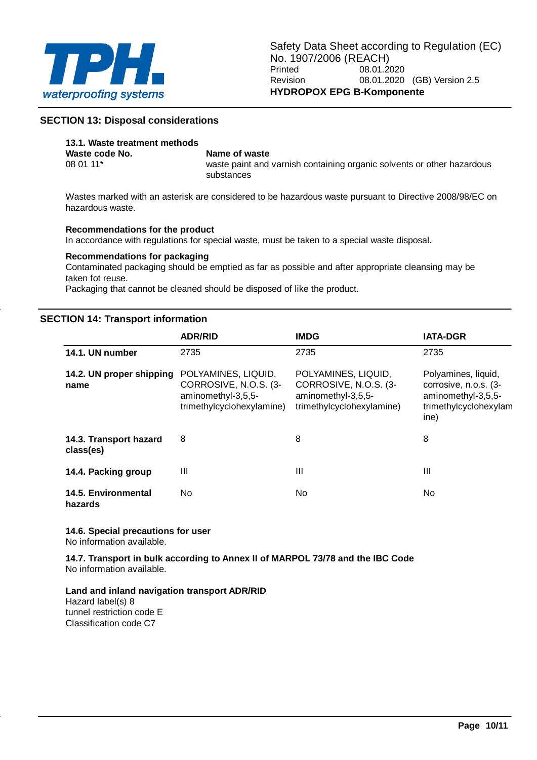

### **SECTION 13: Disposal considerations**

# **13.1. Waste treatment methods**

# **Waste code No. Name of waste**<br>08.01.11\* **Waste paint and**

waste paint and varnish containing organic solvents or other hazardous substances

Wastes marked with an asterisk are considered to be hazardous waste pursuant to Directive 2008/98/EC on hazardous waste.

### **Recommendations for the product**

In accordance with regulations for special waste, must be taken to a special waste disposal.

### **Recommendations for packaging**

Contaminated packaging should be emptied as far as possible and after appropriate cleansing may be taken fot reuse.

Packaging that cannot be cleaned should be disposed of like the product.

### **SECTION 14: Transport information**

|                                     | <b>ADR/RID</b>                                                                                  | <b>IMDG</b>                                                                                     | <b>IATA-DGR</b>                                                                                     |
|-------------------------------------|-------------------------------------------------------------------------------------------------|-------------------------------------------------------------------------------------------------|-----------------------------------------------------------------------------------------------------|
| 14.1. UN number                     | 2735                                                                                            | 2735                                                                                            | 2735                                                                                                |
| 14.2. UN proper shipping<br>name    | POLYAMINES, LIQUID,<br>CORROSIVE, N.O.S. (3-<br>aminomethyl-3,5,5-<br>trimethylcyclohexylamine) | POLYAMINES, LIQUID,<br>CORROSIVE, N.O.S. (3-<br>aminomethyl-3,5,5-<br>trimethylcyclohexylamine) | Polyamines, liquid,<br>corrosive, n.o.s. (3-<br>aminomethyl-3,5,5-<br>trimethylcyclohexylam<br>ine) |
| 14.3. Transport hazard<br>class(es) | 8                                                                                               | 8                                                                                               | 8                                                                                                   |
| 14.4. Packing group                 | Ш                                                                                               | Ш                                                                                               | Ш                                                                                                   |
| 14.5. Environmental<br>hazards      | No.                                                                                             | No.                                                                                             | No.                                                                                                 |

# **14.6. Special precautions for user**

No information available.

**14.7. Transport in bulk according to Annex II of MARPOL 73/78 and the IBC Code** No information available.

**Land and inland navigation transport ADR/RID** Hazard label(s) 8 tunnel restriction code E Classification code C7